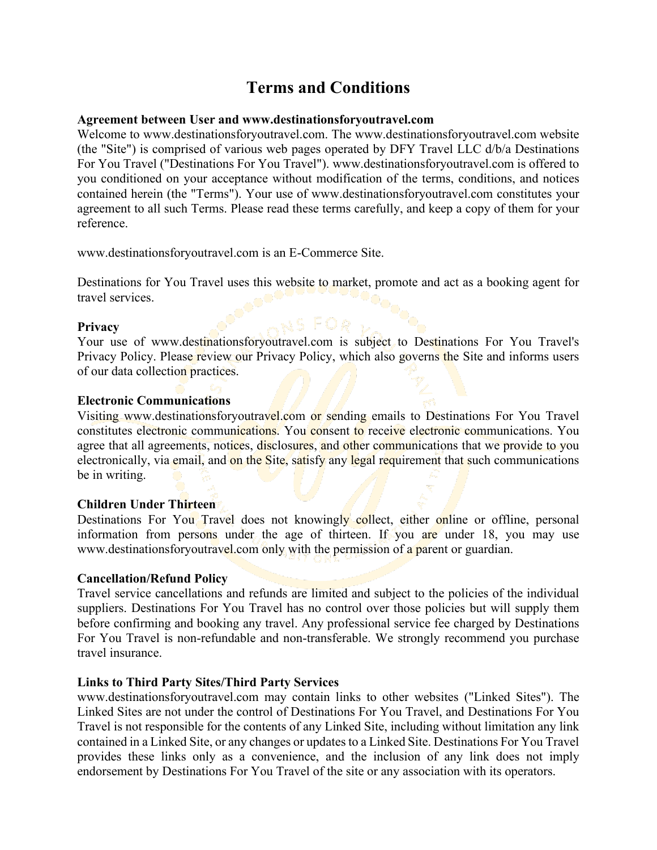# **Terms and Conditions**

## **Agreement between User and www.destinationsforyoutravel.com**

Welcome to www.destinationsforyoutravel.com. The www.destinationsforyoutravel.com website (the "Site") is comprised of various web pages operated by DFY Travel LLC d/b/a Destinations For You Travel ("Destinations For You Travel"). www.destinationsforyoutravel.com is offered to you conditioned on your acceptance without modification of the terms, conditions, and notices contained herein (the "Terms"). Your use of www.destinationsforyoutravel.com constitutes your agreement to all such Terms. Please read these terms carefully, and keep a copy of them for your reference.

www.destinationsforyoutravel.com is an E-Commerce Site.

Destinations for You Travel uses this website to market, promote and act as a booking agent for travel services.

# **Privacy**

Your use of www.destinationsforyoutravel.com is subject to Destinations For You Travel's Privacy Policy. Please review our Privacy Policy, which also governs the Site and informs users of our data collection practices.

## **Electronic Communications**

Visiting www.destinationsforyoutravel.com or sending emails to Destinations For You Travel constitutes electronic communications. You consent to receive electronic communications. You agree that all agreements, notices, disclosures, and other communications that we provide to you electronically, via email, and on the Site, satisfy any legal requirement that such communications be in writing.

## **Children Under Thirteen**

Destinations For You Travel does not knowingly collect, either online or offline, personal information from persons under the age of thirteen. If you are under 18, you may use www.destinationsforyoutravel.com only with the permission of a parent or guardian.

#### **Cancellation/Refund Policy**

Travel service cancellations and refunds are limited and subject to the policies of the individual suppliers. Destinations For You Travel has no control over those policies but will supply them before confirming and booking any travel. Any professional service fee charged by Destinations For You Travel is non-refundable and non-transferable. We strongly recommend you purchase travel insurance.

# **Links to Third Party Sites/Third Party Services**

www.destinationsforyoutravel.com may contain links to other websites ("Linked Sites"). The Linked Sites are not under the control of Destinations For You Travel, and Destinations For You Travel is not responsible for the contents of any Linked Site, including without limitation any link contained in a Linked Site, or any changes or updates to a Linked Site. Destinations For You Travel provides these links only as a convenience, and the inclusion of any link does not imply endorsement by Destinations For You Travel of the site or any association with its operators.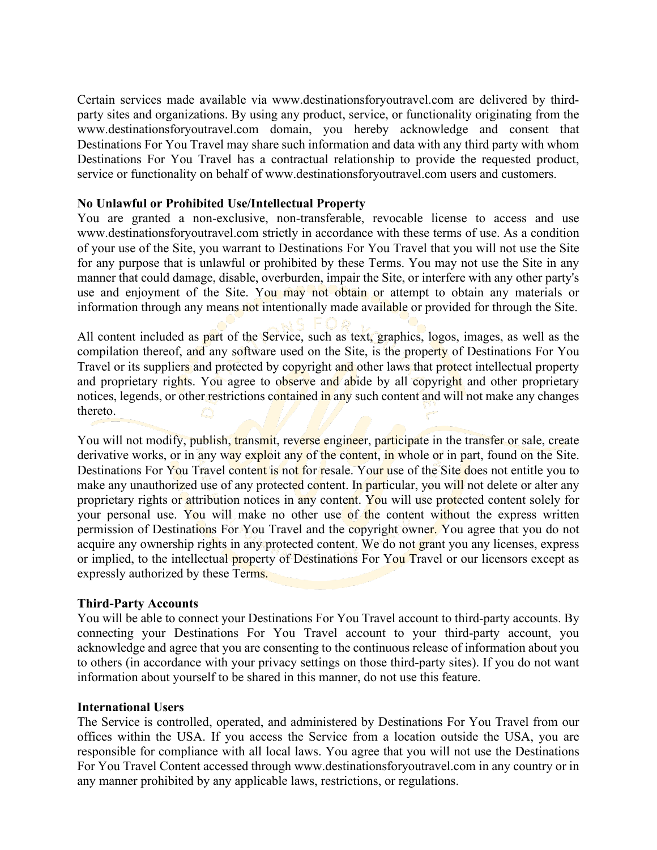Certain services made available via www.destinationsforyoutravel.com are delivered by thirdparty sites and organizations. By using any product, service, or functionality originating from the www.destinationsforyoutravel.com domain, you hereby acknowledge and consent that Destinations For You Travel may share such information and data with any third party with whom Destinations For You Travel has a contractual relationship to provide the requested product, service or functionality on behalf of www.destinationsforyoutravel.com users and customers.

#### **No Unlawful or Prohibited Use/Intellectual Property**

You are granted a non-exclusive, non-transferable, revocable license to access and use www.destinationsforyoutravel.com strictly in accordance with these terms of use. As a condition of your use of the Site, you warrant to Destinations For You Travel that you will not use the Site for any purpose that is unlawful or prohibited by these Terms. You may not use the Site in any manner that could damage, disable, overburden, impair the Site, or interfere with any other party's use and enjoyment of the Site. You may not obtain or attempt to obtain any materials or information through any means not intentionally made available or provided for through the Site.

All content included as part of the Service, such as text, graphics, logos, images, as well as the compilation thereof, and any software used on the Site, is the property of Destinations For You Travel or its suppliers and protected by copyright and other laws that protect intellectual property and proprietary rights. You agree to observe and abide by all copyright and other proprietary notices, legends, or other restrictions contained in any such content and will not make any changes thereto.

You will not modify, publish, transmit, reverse engineer, participate in the transfer or sale, create derivative works, or in any way exploit any of the content, in whole or in part, found on the Site. Destinations For You Travel content is not for resale. Your use of the Site does not entitle you to make any unauthorized use of any protected content. In particular, you will not delete or alter any proprietary rights or attribution notices in any content. You will use protected content solely for your personal use. You will make no other use of the content without the express written permission of Destinations For You Travel and the copyright owner. You agree that you do not acquire any ownership rights in any protected content. We do not grant you any licenses, express or implied, to the intellectual property of Destinations For You Travel or our licensors except as expressly authorized by these Terms.

## **Third-Party Accounts**

You will be able to connect your Destinations For You Travel account to third-party accounts. By connecting your Destinations For You Travel account to your third-party account, you acknowledge and agree that you are consenting to the continuous release of information about you to others (in accordance with your privacy settings on those third-party sites). If you do not want information about yourself to be shared in this manner, do not use this feature.

#### **International Users**

The Service is controlled, operated, and administered by Destinations For You Travel from our offices within the USA. If you access the Service from a location outside the USA, you are responsible for compliance with all local laws. You agree that you will not use the Destinations For You Travel Content accessed through www.destinationsforyoutravel.com in any country or in any manner prohibited by any applicable laws, restrictions, or regulations.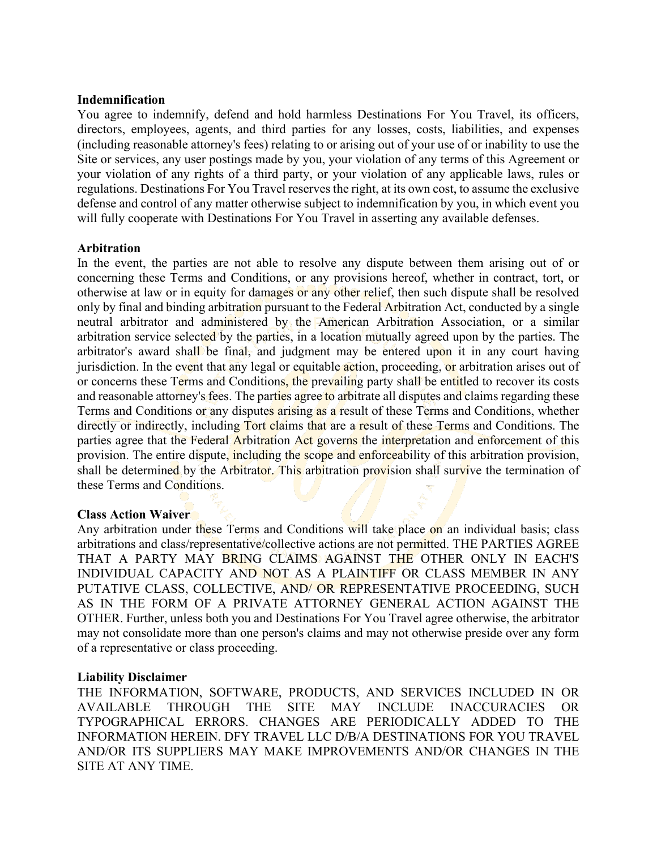### **Indemnification**

You agree to indemnify, defend and hold harmless Destinations For You Travel, its officers, directors, employees, agents, and third parties for any losses, costs, liabilities, and expenses (including reasonable attorney's fees) relating to or arising out of your use of or inability to use the Site or services, any user postings made by you, your violation of any terms of this Agreement or your violation of any rights of a third party, or your violation of any applicable laws, rules or regulations. Destinations For You Travel reserves the right, at its own cost, to assume the exclusive defense and control of any matter otherwise subject to indemnification by you, in which event you will fully cooperate with Destinations For You Travel in asserting any available defenses.

## **Arbitration**

In the event, the parties are not able to resolve any dispute between them arising out of or concerning these Terms and Conditions, or any provisions hereof, whether in contract, tort, or otherwise at law or in equity for damages or any other relief, then such dispute shall be resolved only by final and binding arbitration pursuant to the Federal Arbitration Act, conducted by a single neutral arbitrator and administered by the American Arbitration Association, or a similar arbitration service selected by the parties, in a location mutually agreed upon by the parties. The arbitrator's award shall be final, and judgment may be entered upon it in any court having jurisdiction. In the event that any legal or equitable action, proceeding, or arbitration arises out of or concerns these Terms and Conditions, the prevailing party shall be entitled to recover its costs and reasonable attorney's fees. The parties agree to arbitrate all disputes and claims regarding these Terms and Conditions or any disputes arising as a result of these Terms and Conditions, whether directly or indirectly, including Tort claims that are a result of these Terms and Conditions. The parties agree that the Federal Arbitration Act governs the interpretation and enforcement of this provision. The entire dispute, including the scope and enforceability of this arbitration provision, shall be determined by the Arbitrator. This arbitration provision shall survive the termination of these Terms and Conditions.

## **Class Action Waiver**

Any arbitration under these Terms and Conditions will take place on an individual basis; class arbitrations and class/representative/collective actions are not permitted. THE PARTIES AGREE THAT A PARTY MAY BRING CLAIMS AGAINST THE OTHER ONLY IN EACH'S INDIVIDUAL CAPACITY AND NOT AS A PLAINTIFF OR CLASS MEMBER IN ANY PUTATIVE CLASS, COLLECTIVE, AND/ OR REPRESENTATIVE PROCEEDING, SUCH AS IN THE FORM OF A PRIVATE ATTORNEY GENERAL ACTION AGAINST THE OTHER. Further, unless both you and Destinations For You Travel agree otherwise, the arbitrator may not consolidate more than one person's claims and may not otherwise preside over any form of a representative or class proceeding.

## **Liability Disclaimer**

THE INFORMATION, SOFTWARE, PRODUCTS, AND SERVICES INCLUDED IN OR AVAILABLE THROUGH THE SITE MAY INCLUDE INACCURACIES OR TYPOGRAPHICAL ERRORS. CHANGES ARE PERIODICALLY ADDED TO THE INFORMATION HEREIN. DFY TRAVEL LLC D/B/A DESTINATIONS FOR YOU TRAVEL AND/OR ITS SUPPLIERS MAY MAKE IMPROVEMENTS AND/OR CHANGES IN THE SITE AT ANY TIME.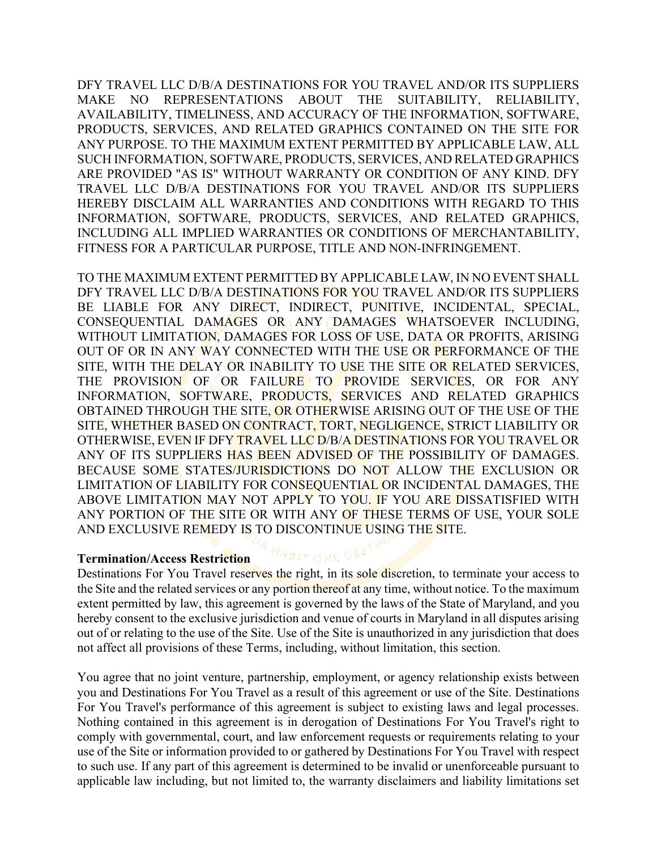DFY TRAVEL LLC D/B/A DESTINATIONS FOR YOU TRAVEL AND/OR ITS SUPPLIERS MAKE NO REPRESENTATIONS ABOUT THE SUITABILITY, RELIABILITY, AVAILABILITY, TIMELINESS, AND ACCURACY OF THE INFORMATION, SOFTWARE, PRODUCTS, SERVICES, AND RELATED GRAPHICS CONTAINED ON THE SITE FOR ANY PURPOSE. TO THE MAXIMUM EXTENT PERMITTED BY APPLICABLE LAW, ALL SUCH INFORMATION, SOFTWARE, PRODUCTS, SERVICES, AND RELATED GRAPHICS ARE PROVIDED "AS IS" WITHOUT WARRANTY OR CONDITION OF ANY KIND. DFY TRAVEL LLC D/B/A DESTINATIONS FOR YOU TRAVEL AND/OR ITS SUPPLIERS HEREBY DISCLAIM ALL WARRANTIES AND CONDITIONS WITH REGARD TO THIS INFORMATION, SOFTWARE, PRODUCTS, SERVICES, AND RELATED GRAPHICS, INCLUDING ALL IMPLIED WARRANTIES OR CONDITIONS OF MERCHANTABILITY, FITNESS FOR A PARTICULAR PURPOSE, TITLE AND NON-INFRINGEMENT.

TO THE MAXIMUM EXTENT PERMITTED BY APPLICABLE LAW, IN NO EVENT SHALL DFY TRAVEL LLC D/B/A DESTINATIONS FOR YOU TRAVEL AND/OR ITS SUPPLIERS BE LIABLE FOR ANY DIRECT, INDIRECT, PUNITIVE, INCIDENTAL, SPECIAL, CONSEQUENTIAL DAMAGES OR ANY DAMAGES WHATSOEVER INCLUDING, WITHOUT LIMITATION, DAMAGES FOR LOSS OF USE, DATA OR PROFITS, ARISING OUT OF OR IN ANY WAY CONNECTED WITH THE USE OR PERFORMANCE OF THE SITE, WITH THE DELAY OR INABILITY TO USE THE SITE OR RELATED SERVICES, THE PROVISION OF OR FAILURE TO PROVIDE SERVICES, OR FOR ANY INFORMATION, SOFTWARE, PRODUCTS, SERVICES AND RELATED GRAPHICS OBTAINED THROUGH THE SITE, OR OTHERWISE ARISING OUT OF THE USE OF THE SITE, WHETHER BASED ON CONTRACT, TORT, NEGLIGENCE, STRICT LIABILITY OR OTHERWISE, EVEN IF DFY TRAVEL LLC D/B/A DESTINATIONS FOR YOU TRAVEL OR ANY OF ITS SUPPLIERS HAS BEEN ADVISED OF THE POSSIBILITY OF DAMAGES. BECAUSE SOME STATES/JURISDICTIONS DO NOT ALLOW THE EXCLUSION OR LIMITATION OF LIABILITY FOR CONSEQUENTIAL OR INCIDENTAL DAMAGES, THE ABOVE LIMITATION MAY NOT APPLY TO YOU. IF YOU ARE DISSATISFIED WITH ANY PORTION OF THE SITE OR WITH ANY OF THESE TERMS OF USE, YOUR SOLE AND EXCLUSIVE REMEDY IS TO DISCONTINUE USING THE SITE.

#### **Termination/Access Restriction**

Destinations For You Travel reserves the right, in its sole discretion, to terminate your access to the Site and the related services or any portion thereof at any time, without notice. To the maximum extent permitted by law, this agreement is governed by the laws of the State of Maryland, and you hereby consent to the exclusive jurisdiction and venue of courts in Maryland in all disputes arising out of or relating to the use of the Site. Use of the Site is unauthorized in any jurisdiction that does not affect all provisions of these Terms, including, without limitation, this section.

**HABIT ONE DES** 

You agree that no joint venture, partnership, employment, or agency relationship exists between you and Destinations For You Travel as a result of this agreement or use of the Site. Destinations For You Travel's performance of this agreement is subject to existing laws and legal processes. Nothing contained in this agreement is in derogation of Destinations For You Travel's right to comply with governmental, court, and law enforcement requests or requirements relating to your use of the Site or information provided to or gathered by Destinations For You Travel with respect to such use. If any part of this agreement is determined to be invalid or unenforceable pursuant to applicable law including, but not limited to, the warranty disclaimers and liability limitations set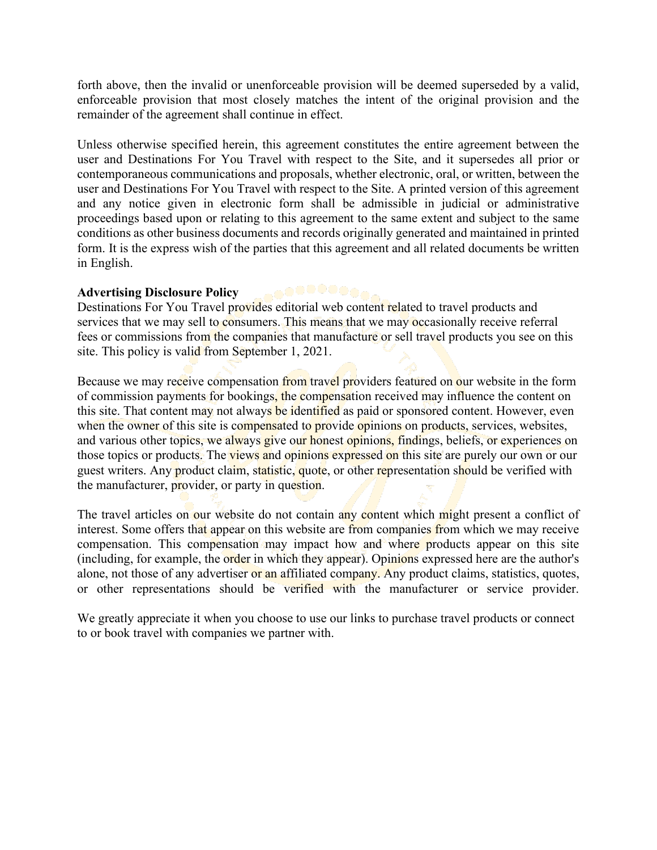forth above, then the invalid or unenforceable provision will be deemed superseded by a valid, enforceable provision that most closely matches the intent of the original provision and the remainder of the agreement shall continue in effect.

Unless otherwise specified herein, this agreement constitutes the entire agreement between the user and Destinations For You Travel with respect to the Site, and it supersedes all prior or contemporaneous communications and proposals, whether electronic, oral, or written, between the user and Destinations For You Travel with respect to the Site. A printed version of this agreement and any notice given in electronic form shall be admissible in judicial or administrative proceedings based upon or relating to this agreement to the same extent and subject to the same conditions as other business documents and records originally generated and maintained in printed form. It is the express wish of the parties that this agreement and all related documents be written in English.

## **Advertising Disclosure Policy**

.00000000000 Destinations For You Travel provides editorial web content related to travel products and services that we may sell to consumers. This means that we may occasionally receive referral fees or commissions from the companies that manufacture or sell travel products you see on this site. This policy is valid from September 1, 2021.

Because we may receive compensation from travel providers featured on our website in the form of commission payments for bookings, the compensation received may influence the content on this site. That content may not always be identified as paid or sponsored content. However, even when the owner of this site is compensated to provide opinions on products, services, websites, and various other topics, we always give our honest opinions, findings, beliefs, or experiences on those topics or products. The views and opinions expressed on this site are purely our own or our guest writers. Any product claim, statistic, quote, or other representation should be verified with the manufacturer, provider, or party in question.

The travel articles on our website do not contain any content which might present a conflict of interest. Some offers that appear on this website are from companies from which we may receive compensation. This compensation may impact how and where products appear on this site (including, for example, the order in which they appear). Opinions expressed here are the author's alone, not those of any advertiser or an affiliated company. Any product claims, statistics, quotes, or other representations should be verified with the manufacturer or service provider.

We greatly appreciate it when you choose to use our links to purchase travel products or connect to or book travel with companies we partner with.